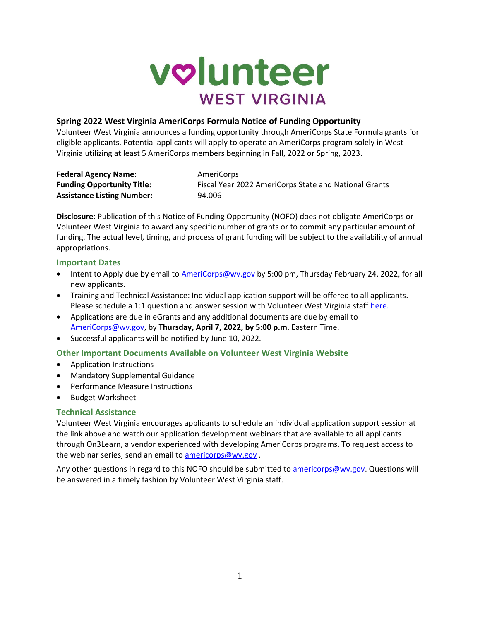

### **Spring 2022 West Virginia AmeriCorps Formula Notice of Funding Opportunity**

Volunteer West Virginia announces a funding opportunity through AmeriCorps State Formula grants for eligible applicants. Potential applicants will apply to operate an AmeriCorps program solely in West Virginia utilizing at least 5 AmeriCorps members beginning in Fall, 2022 or Spring, 2023.

| <b>Federal Agency Name:</b>       | AmeriCorps                                            |
|-----------------------------------|-------------------------------------------------------|
| <b>Funding Opportunity Title:</b> | Fiscal Year 2022 AmeriCorps State and National Grants |
| <b>Assistance Listing Number:</b> | 94.006                                                |

**Disclosure**: Publication of this Notice of Funding Opportunity (NOFO) does not obligate AmeriCorps or Volunteer West Virginia to award any specific number of grants or to commit any particular amount of funding. The actual level, timing, and process of grant funding will be subject to the availability of annual appropriations.

### **Important Dates**

- Intent to Apply due by email to [AmeriCorps@wv.gov](mailto:AmeriCorps@wv.gov) by 5:00 pm, Thursday February 24, 2022, for all new applicants.
- Training and Technical Assistance: Individual application support will be offered to all applicants. Please schedule a 1:1 question and answer session with Volunteer West Virginia staff [here.](https://calendly.com/hannah-d-stone/formula-application-t-a)
- Applications are due in eGrants and any additional documents are due by email to [AmeriCorps@wv.gov,](mailto:AmeriCorps@wv.gov) by **Thursday, April 7, 2022, by 5:00 p.m.** Eastern Time.
- Successful applicants will be notified by June 10, 2022.

## **Other Important Documents Available on Volunteer West Virginia Website**

- Application Instructions
- Mandatory Supplemental Guidance
- Performance Measure Instructions
- Budget Worksheet

### **Technical Assistance**

Volunteer West Virginia encourages applicants to schedule an individual application support session at the link above and watch our application development webinars that are available to all applicants through On3Learn, a vendor experienced with developing AmeriCorps programs. To request access to the webinar series, send an email to [americorps@wv.gov](mailto:americorps@wv.gov).

Any other questions in regard to this NOFO should be submitted t[o americorps@wv.gov.](mailto:americorps@wv.gov) Questions will be answered in a timely fashion by Volunteer West Virginia staff.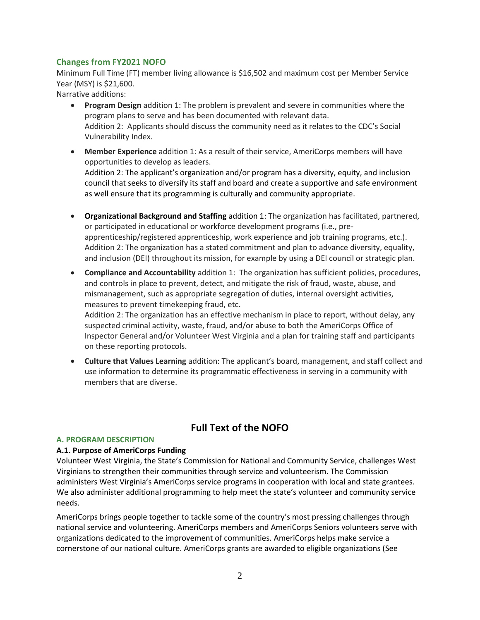### **Changes from FY2021 NOFO**

Minimum Full Time (FT) member living allowance is \$16,502 and maximum cost per Member Service Year (MSY) is \$21,600.

Narrative additions:

- **Program Design** addition 1: The problem is prevalent and severe in communities where the program plans to serve and has been documented with relevant data. Addition 2: Applicants should discuss the community need as it relates to the CDC's Social Vulnerability Index.
- **Member Experience** addition 1: As a result of their service, AmeriCorps members will have opportunities to develop as leaders. Addition 2: The applicant's organization and/or program has a diversity, equity, and inclusion council that seeks to diversify its staff and board and create a supportive and safe environment as well ensure that its programming is culturally and community appropriate.
- **Organizational Background and Staffing** addition 1: The organization has facilitated, partnered, or participated in educational or workforce development programs (i.e., preapprenticeship/registered apprenticeship, work experience and job training programs, etc.). Addition 2: The organization has a stated commitment and plan to advance diversity, equality, and inclusion (DEI) throughout its mission, for example by using a DEI council or strategic plan.
- **Compliance and Accountability** addition 1: The organization has sufficient policies, procedures, and controls in place to prevent, detect, and mitigate the risk of fraud, waste, abuse, and mismanagement, such as appropriate segregation of duties, internal oversight activities, measures to prevent timekeeping fraud, etc.

Addition 2: The organization has an effective mechanism in place to report, without delay, any suspected criminal activity, waste, fraud, and/or abuse to both the AmeriCorps Office of Inspector General and/or Volunteer West Virginia and a plan for training staff and participants on these reporting protocols.

• **Culture that Values Learning** addition: The applicant's board, management, and staff collect and use information to determine its programmatic effectiveness in serving in a community with members that are diverse.

# **Full Text of the NOFO**

### **A. PROGRAM DESCRIPTION**

### **A.1. Purpose of AmeriCorps Funding**

Volunteer West Virginia, the State's Commission for National and Community Service, challenges West Virginians to strengthen their communities through service and volunteerism. The Commission administers West Virginia's AmeriCorps service programs in cooperation with local and state grantees. We also administer additional programming to help meet the state's volunteer and community service needs.

AmeriCorps brings people together to tackle some of the country's most pressing challenges through national service and volunteering. AmeriCorps members and AmeriCorps Seniors volunteers serve with organizations dedicated to the improvement of communities. AmeriCorps helps make service a cornerstone of our national culture. AmeriCorps grants are awarded to eligible organizations (See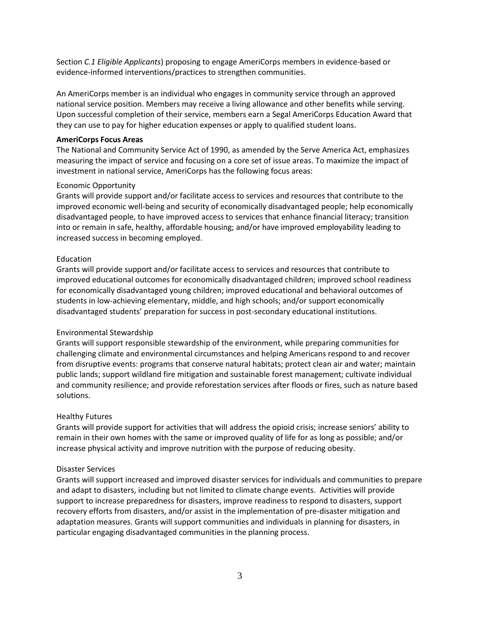Section *C.1 Eligible Applicants*) proposing to engage AmeriCorps members in evidence-based or evidence-informed interventions/practices to strengthen communities.

An AmeriCorps member is an individual who engages in community service through an approved national service position. Members may receive a living allowance and other benefits while serving. Upon successful completion of their service, members earn a Segal AmeriCorps Education Award that they can use to pay for higher education expenses or apply to qualified student loans.

#### **AmeriCorps Focus Areas**

The National and Community Service Act of 1990, as amended by the Serve America Act, emphasizes measuring the impact of service and focusing on a core set of issue areas. To maximize the impact of investment in national service, AmeriCorps has the following focus areas:

#### Economic Opportunity

Grants will provide support and/or facilitate access to services and resources that contribute to the improved economic well-being and security of economically disadvantaged people; help economically disadvantaged people, to have improved access to services that enhance financial literacy; transition into or remain in safe, healthy, affordable housing; and/or have improved employability leading to increased success in becoming employed.

#### Education

Grants will provide support and/or facilitate access to services and resources that contribute to improved educational outcomes for economically disadvantaged children; improved school readiness for economically disadvantaged young children; improved educational and behavioral outcomes of students in low-achieving elementary, middle, and high schools; and/or support economically disadvantaged students' preparation for success in post-secondary educational institutions.

### Environmental Stewardship

Grants will support responsible stewardship of the environment, while preparing communities for challenging climate and environmental circumstances and helping Americans respond to and recover from disruptive events: programs that conserve natural habitats; protect clean air and water; maintain public lands; support wildland fire mitigation and sustainable forest management; cultivate individual and community resilience; and provide reforestation services after floods or fires, such as nature based solutions.

### Healthy Futures

Grants will provide support for activities that will address the opioid crisis; increase seniors' ability to remain in their own homes with the same or improved quality of life for as long as possible; and/or increase physical activity and improve nutrition with the purpose of reducing obesity.

### Disaster Services

Grants will support increased and improved disaster services for individuals and communities to prepare and adapt to disasters, including but not limited to climate change events. Activities will provide support to increase preparedness for disasters, improve readiness to respond to disasters, support recovery efforts from disasters, and/or assist in the implementation of pre-disaster mitigation and adaptation measures. Grants will support communities and individuals in planning for disasters, in particular engaging disadvantaged communities in the planning process.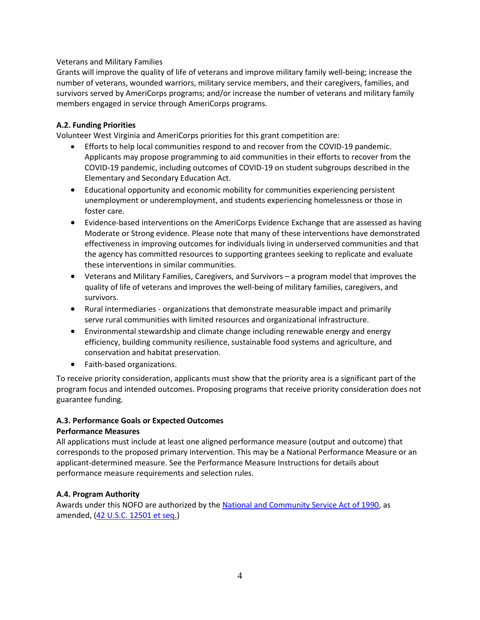### Veterans and Military Families

Grants will improve the quality of life of veterans and improve military family well-being; increase the number of veterans, wounded warriors, military service members, and their caregivers, families, and survivors served by AmeriCorps programs; and/or increase the number of veterans and military family members engaged in service through AmeriCorps programs.

### **A.2. Funding Priorities**

Volunteer West Virginia and AmeriCorps priorities for this grant competition are:

- Efforts to help local communities respond to and recover from the COVID-19 pandemic. Applicants may propose programming to aid communities in their efforts to recover from the COVID-19 pandemic, including outcomes of COVID-19 on student subgroups described in the Elementary and Secondary Education Act.
- Educational opportunity and economic mobility for communities experiencing persistent unemployment or underemployment, and students experiencing homelessness or those in foster care.
- Evidence-based interventions on the AmeriCorps Evidence Exchange that are assessed as having Moderate or Strong evidence. Please note that many of these interventions have demonstrated effectiveness in improving outcomes for individuals living in underserved communities and that the agency has committed resources to supporting grantees seeking to replicate and evaluate these interventions in similar communities.
- Veterans and Military Families, Caregivers, and Survivors a program model that improves the quality of life of veterans and improves the well-being of military families, caregivers, and survivors.
- Rural intermediaries organizations that demonstrate measurable impact and primarily serve rural communities with limited resources and organizational infrastructure.
- Environmental stewardship and climate change including renewable energy and energy efficiency, building community resilience, sustainable food systems and agriculture, and conservation and habitat preservation.
- Faith-based organizations.

To receive priority consideration, applicants must show that the priority area is a significant part of the program focus and intended outcomes. Proposing programs that receive priority consideration does not guarantee funding.

### **A.3. Performance Goals or Expected Outcomes**

### **Performance Measures**

All applications must include at least one aligned performance measure (output and outcome) that corresponds to the proposed primary intervention. This may be a National Performance Measure or an applicant-determined measure. See the Performance Measure Instructions for details about performance measure requirements and selection rules.

### **A.4. Program Authority**

Awards under this NOFO are authorized by th[e National and Community Service Act of 1990,](https://americorps.gov/about/agency-overview/statutes-regulations) as amended, [\(42 U.S.C. 12501 et seq.\)](https://www.congress.gov/111/plaws/publ13/PLAW-111publ13.pdf)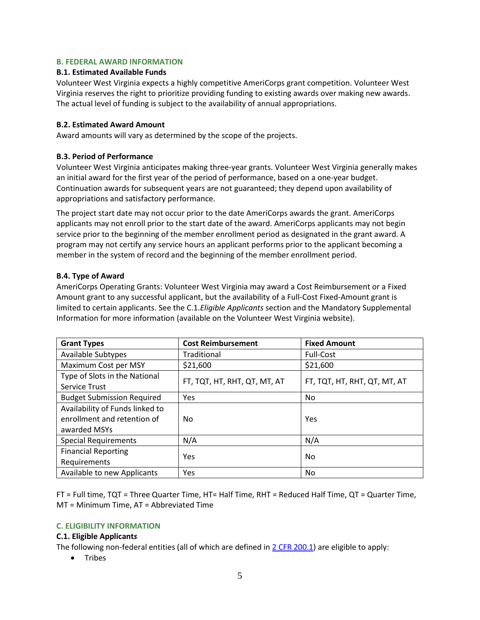### **B. FEDERAL AWARD INFORMATION**

#### **B.1. Estimated Available Funds**

Volunteer West Virginia expects a highly competitive AmeriCorps grant competition. Volunteer West Virginia reserves the right to prioritize providing funding to existing awards over making new awards. The actual level of funding is subject to the availability of annual appropriations.

### **B.2. Estimated Award Amount**

Award amounts will vary as determined by the scope of the projects.

#### **B.3. Period of Performance**

Volunteer West Virginia anticipates making three-year grants. Volunteer West Virginia generally makes an initial award for the first year of the period of performance, based on a one-year budget. Continuation awards for subsequent years are not guaranteed; they depend upon availability of appropriations and satisfactory performance.

The project start date may not occur prior to the date AmeriCorps awards the grant. AmeriCorps applicants may not enroll prior to the start date of the award. AmeriCorps applicants may not begin service prior to the beginning of the member enrollment period as designated in the grant award. A program may not certify any service hours an applicant performs prior to the applicant becoming a member in the system of record and the beginning of the member enrollment period.

#### **B.4. Type of Award**

AmeriCorps Operating Grants: Volunteer West Virginia may award a Cost Reimbursement or a Fixed Amount grant to any successful applicant, but the availability of a Full-Cost Fixed-Amount grant is limited to certain applicants. See the C.1.*Eligible Applicants* section and the Mandatory Supplemental Information for more information (available on the Volunteer West Virginia website).

| <b>Grant Types</b>                | <b>Cost Reimbursement</b>    | <b>Fixed Amount</b>          |  |
|-----------------------------------|------------------------------|------------------------------|--|
| <b>Available Subtypes</b>         | Traditional                  | <b>Full-Cost</b>             |  |
| Maximum Cost per MSY              | \$21,600                     | \$21,600                     |  |
| Type of Slots in the National     | FT, TQT, HT, RHT, QT, MT, AT | FT, TQT, HT, RHT, QT, MT, AT |  |
| <b>Service Trust</b>              |                              |                              |  |
| <b>Budget Submission Required</b> | Yes                          | No.                          |  |
| Availability of Funds linked to   |                              |                              |  |
| enrollment and retention of       | No                           | Yes                          |  |
| awarded MSYs                      |                              |                              |  |
| <b>Special Requirements</b>       | N/A                          | N/A                          |  |
| <b>Financial Reporting</b>        | Yes                          | No                           |  |
| Requirements                      |                              |                              |  |
| Available to new Applicants       | Yes                          | <b>No</b>                    |  |

FT = Full time, TQT = Three Quarter Time, HT= Half Time, RHT = Reduced Half Time, QT = Quarter Time, MT = Minimum Time, AT = Abbreviated Time

#### **C. ELIGIBILITY INFORMATION**

#### **C.1. Eligible Applicant***s*

The following non-federal entities (all of which are defined in 2 [CFR 200.1\)](https://www.ecfr.gov/cgi-bin/text-idx?SID=7122962885b48d729142e857315838fe&mc=true&node=se2.1.200_11&rgn=div8) are eligible to apply:

• Tribes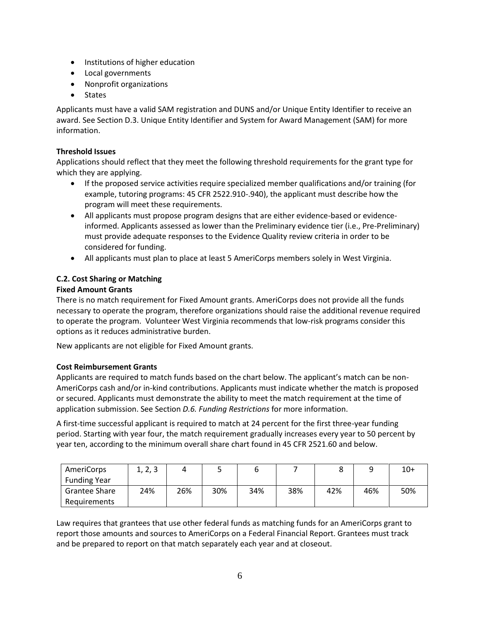- Institutions of higher education
- Local governments
- Nonprofit organizations
- States

Applicants must have a valid SAM registration and DUNS and/or Unique Entity Identifier to receive an award. See Section D.3. Unique Entity Identifier and System for Award Management (SAM) for more information.

### **Threshold Issues**

Applications should reflect that they meet the following threshold requirements for the grant type for which they are applying.

- If the proposed service activities require specialized member qualifications and/or training (for example, tutoring programs: 45 CFR 2522.910-.940), the applicant must describe how the program will meet these requirements.
- All applicants must propose program designs that are either evidence-based or evidenceinformed. Applicants assessed as lower than the Preliminary evidence tier (i.e., Pre-Preliminary) must provide adequate responses to the Evidence Quality review criteria in order to be considered for funding.
- All applicants must plan to place at least 5 AmeriCorps members solely in West Virginia.

### **C.2. Cost Sharing or Matching**

### **Fixed Amount Grants**

There is no match requirement for Fixed Amount grants. AmeriCorps does not provide all the funds necessary to operate the program, therefore organizations should raise the additional revenue required to operate the program. Volunteer West Virginia recommends that low-risk programs consider this options as it reduces administrative burden.

New applicants are not eligible for Fixed Amount grants.

## **Cost Reimbursement Grants**

Applicants are required to match funds based on the chart below. The applicant's match can be non-AmeriCorps cash and/or in-kind contributions. Applicants must indicate whether the match is proposed or secured. Applicants must demonstrate the ability to meet the match requirement at the time of application submission. See Section *D.6. Funding Restrictions* for more information.

A first-time successful applicant is required to match at 24 percent for the first three-year funding period. Starting with year four, the match requirement gradually increases every year to 50 percent by year ten, according to the minimum overall share chart found in 45 CFR 2521.60 and below.

| AmeriCorps           | 1, 2, 3 |     | ٠   |     |     |     |     | $10+$ |
|----------------------|---------|-----|-----|-----|-----|-----|-----|-------|
| <b>Funding Year</b>  |         |     |     |     |     |     |     |       |
| <b>Grantee Share</b> | 24%     | 26% | 30% | 34% | 38% | 42% | 46% | 50%   |
| Requirements         |         |     |     |     |     |     |     |       |

Law requires that grantees that use other federal funds as matching funds for an AmeriCorps grant to report those amounts and sources to AmeriCorps on a Federal Financial Report. Grantees must track and be prepared to report on that match separately each year and at closeout.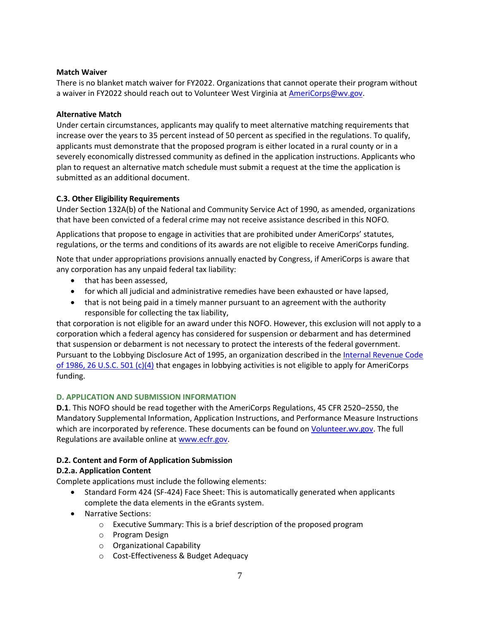### **Match Waiver**

There is no blanket match waiver for FY2022. Organizations that cannot operate their program without a waiver in FY2022 should reach out to Volunteer West Virginia at [AmeriCorps@wv.gov.](mailto:AmeriCorps@wv.gov)

### **Alternative Match**

Under certain circumstances, applicants may qualify to meet alternative matching requirements that increase over the years to 35 percent instead of 50 percent as specified in the regulations. To qualify, applicants must demonstrate that the proposed program is either located in a rural county or in a severely economically distressed community as defined in the application instructions. Applicants who plan to request an alternative match schedule must submit a request at the time the application is submitted as an additional document.

## **C.3. Other Eligibility Requirements**

Under Section 132A(b) of the National and Community Service Act of 1990, as amended, organizations that have been convicted of a federal crime may not receive assistance described in this NOFO*.* 

Applications that propose to engage in activities that are prohibited under AmeriCorps' statutes, regulations, or the terms and conditions of its awards are not eligible to receive AmeriCorps funding.

Note that under appropriations provisions annually enacted by Congress, if AmeriCorps is aware that any corporation has any unpaid federal tax liability:

- that has been assessed,
- for which all judicial and administrative remedies have been exhausted or have lapsed,
- that is not being paid in a timely manner pursuant to an agreement with the authority responsible for collecting the tax liability,

that corporation is not eligible for an award under this NOFO. However, this exclusion will not apply to a corporation which a federal agency has considered for suspension or debarment and has determined that suspension or debarment is not necessary to protect the interests of the federal government. Pursuant to the Lobbying Disclosure Act of 1995, an organization described in the [Internal Revenue Code](https://www.irs.gov/pub/irs-tege/eotopici03.pdf)  [of 1986, 26 U.S.C. 501 \(c\)\(4\)](https://www.irs.gov/pub/irs-tege/eotopici03.pdf) that engages in lobbying activities is not eligible to apply for AmeriCorps funding.

### **D. APPLICATION AND SUBMISSION INFORMATION**

**D.1**. This NOFO should be read together with the AmeriCorps Regulations, 45 CFR 2520–2550, the Mandatory Supplemental Information, Application Instructions, and Performance Measure Instructions which are incorporated by reference. These documents can be found on *Volunteer.wv.gov*. The full Regulations are available online a[t www.ecfr.gov.](http://www.ecfr.gov/)

## **D.2. Content and Form of Application Submission**

## **D.2.a. Application Content**

Complete applications must include the following elements:

- Standard Form 424 (SF-424) Face Sheet: This is automatically generated when applicants complete the data elements in the eGrants system.
- Narrative Sections:
	- o Executive Summary: This is a brief description of the proposed program
	- o Program Design
	- o Organizational Capability
	- o Cost-Effectiveness & Budget Adequacy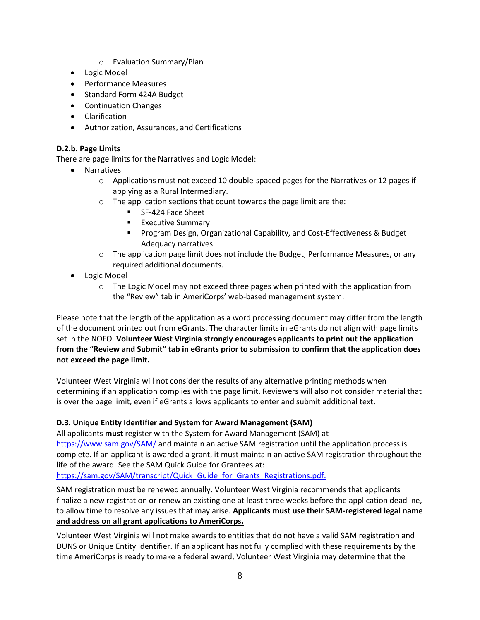- o Evaluation Summary/Plan
- Logic Model
- Performance Measures
- Standard Form 424A Budget
- Continuation Changes
- Clarification
- Authorization, Assurances, and Certifications

## **D.2.b. Page Limits**

There are page limits for the Narratives and Logic Model:

- Narratives
	- $\circ$  Applications must not exceed 10 double-spaced pages for the Narratives or 12 pages if applying as a Rural Intermediary.
	- o The application sections that count towards the page limit are the:
		- SF-424 Face Sheet
		- **Executive Summary**
		- Program Design, Organizational Capability, and Cost-Effectiveness & Budget Adequacy narratives.
	- $\circ$  The application page limit does not include the Budget, Performance Measures, or any required additional documents.
- Logic Model
	- $\circ$  The Logic Model may not exceed three pages when printed with the application from the "Review" tab in AmeriCorps' web-based management system.

Please note that the length of the application as a word processing document may differ from the length of the document printed out from eGrants. The character limits in eGrants do not align with page limits set in the NOFO. **Volunteer West Virginia strongly encourages applicants to print out the application from the "Review and Submit" tab in eGrants prior to submission to confirm that the application does not exceed the page limit.**

Volunteer West Virginia will not consider the results of any alternative printing methods when determining if an application complies with the page limit. Reviewers will also not consider material that is over the page limit, even if eGrants allows applicants to enter and submit additional text.

## **D.3. Unique Entity Identifier and System for Award Management (SAM)**

All applicants **must** register with the System for Award Management (SAM) a[t](https://www.sam.gov/SAM/) <https://www.sam.gov/SAM/> and maintain an active SAM registration until the application process is complete. If an applicant is awarded a grant, it must maintain an active SAM registration throughout the life of the award. See the SAM Quick Guide for Grantees at:

https://sam.gov/SAM/transcript/Quick Guide for Grants Registrations.pdf.

SAM registration must be renewed annually. Volunteer West Virginia recommends that applicants finalize a new registration or renew an existing one at least three weeks before the application deadline, to allow time to resolve any issues that may arise. **Applicants must use their SAM-registered legal name and address on all grant applications to AmeriCorps.**

Volunteer West Virginia will not make awards to entities that do not have a valid SAM registration and DUNS or Unique Entity Identifier. If an applicant has not fully complied with these requirements by the time AmeriCorps is ready to make a federal award, Volunteer West Virginia may determine that the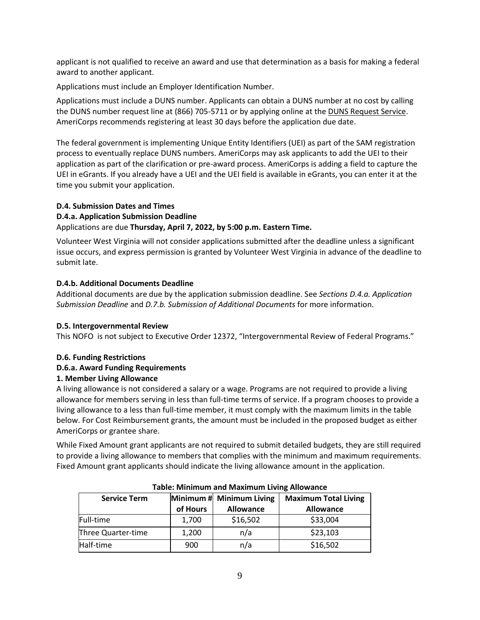applicant is not qualified to receive an award and use that determination as a basis for making a federal award to another applicant.

Applications must include an Employer Identification Number.

Applications must include a DUNS number. Applicants can obtain a DUNS number at no cost by calling the DUNS number request line at (866) 705-5711 or by applying online at the **DUNS Request Service**. AmeriCorps recommends registering at least 30 days before the application due date.

The federal government is implementing Unique Entity Identifiers (UEI) as part of the SAM registration process to eventually replace DUNS numbers. AmeriCorps may ask applicants to add the UEI to their application as part of the clarification or pre-award process. AmeriCorps is adding a field to capture the UEI in eGrants. If you already have a UEI and the UEI field is available in eGrants, you can enter it at the time you submit your application.

## **D.4. Submission Dates and Times**

### **D.4.a. Application Submission Deadline**

### Applications are due **Thursday, April 7, 2022, by 5:00 p.m. Eastern Time.**

Volunteer West Virginia will not consider applications submitted after the deadline unless a significant issue occurs, and express permission is granted by Volunteer West Virginia in advance of the deadline to submit late.

### **D.4.b. Additional Documents Deadline**

Additional documents are due by the application submission deadline. See *Sections D.4.a. Application Submission Deadline* and *D.7.b. Submission of Additional Documents* for more information.

### **D.5. Intergovernmental Review**

This NOFO is not subject to Executive Order 12372, "Intergovernmental Review of Federal Programs."

### **D.6. Funding Restrictions**

### **D.6.a. Award Funding Requirements**

### **1. Member Living Allowance**

A living allowance is not considered a salary or a wage. Programs are not required to provide a living allowance for members serving in less than full-time terms of service. If a program chooses to provide a living allowance to a less than full-time member, it must comply with the maximum limits in the table below. For Cost Reimbursement grants, the amount must be included in the proposed budget as either AmeriCorps or grantee share.

While Fixed Amount grant applicants are not required to submit detailed budgets, they are still required to provide a living allowance to members that complies with the minimum and maximum requirements. Fixed Amount grant applicants should indicate the living allowance amount in the application.

| Table: Minimum and Maximum Living Allowance |          |                          |                             |  |
|---------------------------------------------|----------|--------------------------|-----------------------------|--|
| <b>Service Term</b>                         |          | Minimum # Minimum Living | <b>Maximum Total Living</b> |  |
|                                             | of Hours | <b>Allowance</b>         | <b>Allowance</b>            |  |
| Full-time                                   | 1,700    | \$16,502                 | \$33,004                    |  |
| Three Quarter-time                          | 1,200    | n/a                      | \$23,103                    |  |
| Half-time                                   | 900      | n/a                      | \$16,502                    |  |

#### **Table: Minimum and Maximum Living Allowance**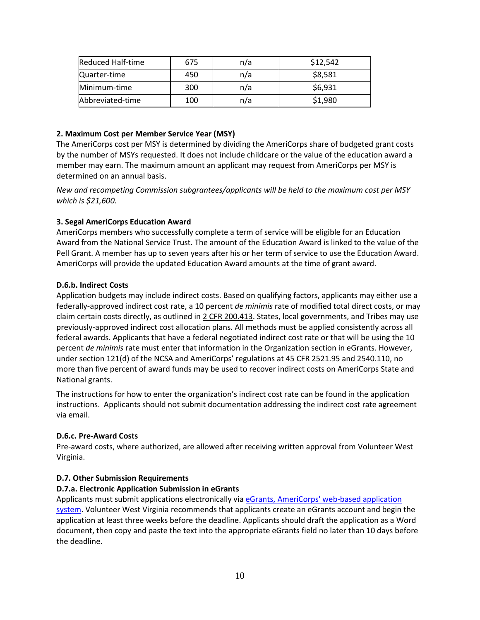| Reduced Half-time | 675 | n/a | \$12,542 |
|-------------------|-----|-----|----------|
| Quarter-time      | 450 | n/a | \$8,581  |
| Minimum-time      | 300 | n/a | \$6,931  |
| Abbreviated-time  | 100 | n/a | \$1,980  |

#### **2. Maximum Cost per Member Service Year (MSY)**

The AmeriCorps cost per MSY is determined by dividing the AmeriCorps share of budgeted grant costs by the number of MSYs requested. It does not include childcare or the value of the education award a member may earn. The maximum amount an applicant may request from AmeriCorps per MSY is determined on an annual basis.

*New and recompeting Commission subgrantees/applicants will be held to the maximum cost per MSY which is \$21,600.*

#### **3. Segal AmeriCorps Education Award**

AmeriCorps members who successfully complete a term of service will be eligible for an Education Award from the National Service Trust. The amount of the Education Award is linked to the value of the Pell Grant. A member has up to seven years after his or her term of service to use the Education Award. AmeriCorps will provide the updated Education Award amounts at the time of grant award.

#### **D.6.b. Indirect Costs**

Application budgets may include indirect costs. Based on qualifying factors, applicants may either use a federally-approved indirect cost rate, a 10 percent *de minimis* rate of modified total direct costs, or may claim certain costs directly, as outlined in [2 CFR 200.413.](http://www.ecfr.gov/cgi-bin/text-idx?SID=74a79d9a3a38ee2ca26d377daeacebb7&mc=true&node=se2.1.200_1413&rgn=div8) States, local governments, and Tribes may use previously-approved indirect cost allocation plans. All methods must be applied consistently across all federal awards. Applicants that have a federal negotiated indirect cost rate or that will be using the 10 percent *de minimis* rate must enter that information in the Organization section in eGrants. However, under section 121(d) of the NCSA and AmeriCorps' regulations at 45 CFR 2521.95 and 2540.110, no more than five percent of award funds may be used to recover indirect costs on AmeriCorps State and National grants.

The instructions for how to enter the organization's indirect cost rate can be found in the application instructions. Applicants should not submit documentation addressing the indirect cost rate agreement via email.

#### **D.6.c. Pre-Award Costs**

Pre-award costs, where authorized, are allowed after receiving written approval from Volunteer West Virginia.

#### **D.7. Other Submission Requirements**

#### **D.7.a. Electronic Application Submission in eGrants**

Applicants must submit applications electronically via [eGrants, AmeriCorps' web-based application](https://egrants.cns.gov/espan/main/login.jsp)  [system.](https://egrants.cns.gov/espan/main/login.jsp) Volunteer West Virginia recommends that applicants create an eGrants account and begin the application at least three weeks before the deadline. Applicants should draft the application as a Word document, then copy and paste the text into the appropriate eGrants field no later than 10 days before the deadline.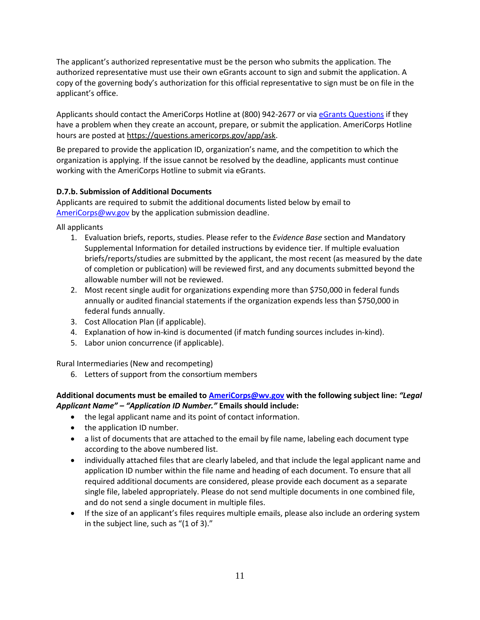The applicant's authorized representative must be the person who submits the application. The authorized representative must use their own eGrants account to sign and submit the application. A copy of the governing body's authorization for this official representative to sign must be on file in the applicant's office.

Applicants should contact the AmeriCorps Hotline at (800) 942-2677 or via [eGrants Questions](https://questions.americorps.gov/app/ask) if they have a problem when they create an account, prepare, or submit the application. AmeriCorps Hotline hours are posted at [https://questions.americorps.gov/app/ask.](https://questions.americorps.gov/app/ask)

Be prepared to provide the application ID, organization's name, and the competition to which the organization is applying. If the issue cannot be resolved by the deadline, applicants must continue working with the AmeriCorps Hotline to submit via eGrants.

## **D.7.b. Submission of Additional Documents**

Applicants are required to submit the additional documents listed below by email to [AmeriCorps@wv.gov](mailto:AmeriCorps@wv.gov) by the application submission deadline.

All applicants

- 1. Evaluation briefs, reports, studies. Please refer to the *Evidence Base* section and Mandatory Supplemental Information for detailed instructions by evidence tier. If multiple evaluation briefs/reports/studies are submitted by the applicant, the most recent (as measured by the date of completion or publication) will be reviewed first, and any documents submitted beyond the allowable number will not be reviewed.
- 2. Most recent single audit for organizations expending more than \$750,000 in federal funds annually or audited financial statements if the organization expends less than \$750,000 in federal funds annually.
- 3. Cost Allocation Plan (if applicable).
- 4. Explanation of how in-kind is documented (if match funding sources includes in-kind).
- 5. Labor union concurrence (if applicable).

Rural Intermediaries (New and recompeting)

6. Letters of support from the consortium members

## **Additional documents must be emailed to [AmeriCorps@wv.gov](mailto:AmeriCorps@wv.gov) with the following subject line:** *"Legal Applicant Name" – "Application ID Number."* **Emails should include:**

- the legal applicant name and its point of contact information.
- the application ID number.
- a list of documents that are attached to the email by file name, labeling each document type according to the above numbered list.
- individually attached files that are clearly labeled, and that include the legal applicant name and application ID number within the file name and heading of each document. To ensure that all required additional documents are considered, please provide each document as a separate single file, labeled appropriately. Please do not send multiple documents in one combined file, and do not send a single document in multiple files.
- If the size of an applicant's files requires multiple emails, please also include an ordering system in the subject line, such as "(1 of 3)."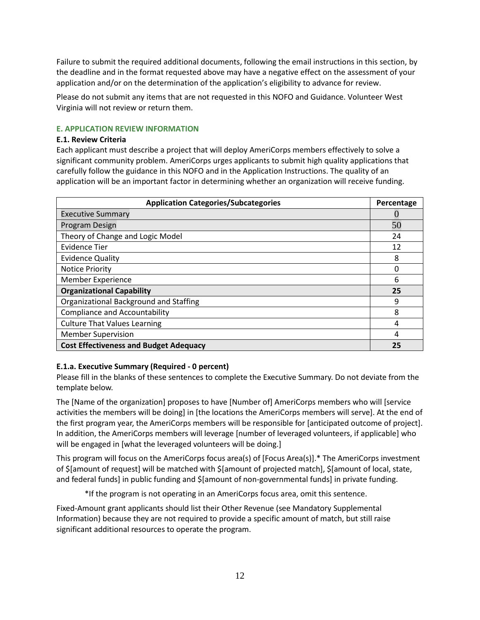Failure to submit the required additional documents, following the email instructions in this section, by the deadline and in the format requested above may have a negative effect on the assessment of your application and/or on the determination of the application's eligibility to advance for review.

Please do not submit any items that are not requested in this NOFO and Guidance. Volunteer West Virginia will not review or return them.

#### **E. APPLICATION REVIEW INFORMATION**

#### **E.1. Review Criteria**

Each applicant must describe a project that will deploy AmeriCorps members effectively to solve a significant community problem. AmeriCorps urges applicants to submit high quality applications that carefully follow the guidance in this NOFO and in the Application Instructions. The quality of an application will be an important factor in determining whether an organization will receive funding.

| <b>Application Categories/Subcategories</b>   |    |  |
|-----------------------------------------------|----|--|
| <b>Executive Summary</b>                      |    |  |
| Program Design                                | 50 |  |
| Theory of Change and Logic Model              | 24 |  |
| <b>Evidence Tier</b>                          | 12 |  |
| <b>Evidence Quality</b>                       | 8  |  |
| <b>Notice Priority</b>                        |    |  |
| <b>Member Experience</b>                      | 6  |  |
| <b>Organizational Capability</b>              | 25 |  |
| Organizational Background and Staffing        | 9  |  |
| <b>Compliance and Accountability</b>          | 8  |  |
| <b>Culture That Values Learning</b>           | 4  |  |
| <b>Member Supervision</b>                     | 4  |  |
| <b>Cost Effectiveness and Budget Adequacy</b> | 25 |  |

### **E.1.a. Executive Summary (Required - 0 percent)**

Please fill in the blanks of these sentences to complete the Executive Summary. Do not deviate from the template below.

The [Name of the organization] proposes to have [Number of] AmeriCorps members who will [service activities the members will be doing] in [the locations the AmeriCorps members will serve]. At the end of the first program year, the AmeriCorps members will be responsible for [anticipated outcome of project]. In addition, the AmeriCorps members will leverage [number of leveraged volunteers, if applicable] who will be engaged in [what the leveraged volunteers will be doing.]

This program will focus on the AmeriCorps focus area(s) of [Focus Area(s)].\* The AmeriCorps investment of \$[amount of request] will be matched with \$[amount of projected match], \$[amount of local, state, and federal funds] in public funding and \$[amount of non-governmental funds] in private funding.

\*If the program is not operating in an AmeriCorps focus area, omit this sentence.

Fixed-Amount grant applicants should list their Other Revenue (see Mandatory Supplemental Information) because they are not required to provide a specific amount of match, but still raise significant additional resources to operate the program.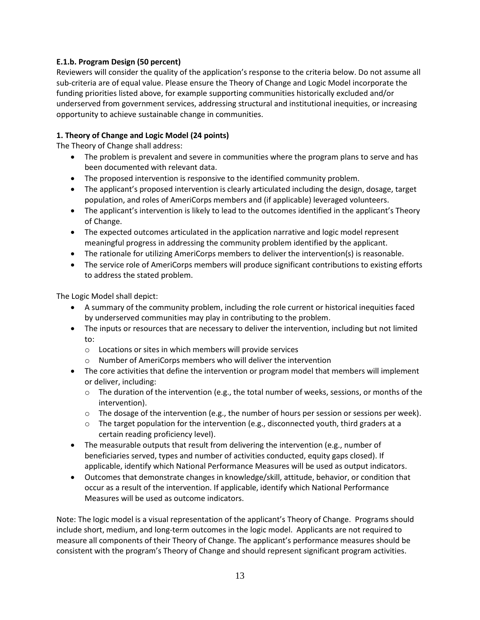## **E.1.b. Program Design (50 percent)**

Reviewers will consider the quality of the application's response to the criteria below. Do not assume all sub-criteria are of equal value. Please ensure the Theory of Change and Logic Model incorporate the funding priorities listed above, for example supporting communities historically excluded and/or underserved from government services, addressing structural and institutional inequities, or increasing opportunity to achieve sustainable change in communities.

### **1. Theory of Change and Logic Model (24 points)**

The Theory of Change shall address:

- The problem is prevalent and severe in communities where the program plans to serve and has been documented with relevant data.
- The proposed intervention is responsive to the identified community problem.
- The applicant's proposed intervention is clearly articulated including the design, dosage, target population, and roles of AmeriCorps members and (if applicable) leveraged volunteers.
- The applicant's intervention is likely to lead to the outcomes identified in the applicant's Theory of Change.
- The expected outcomes articulated in the application narrative and logic model represent meaningful progress in addressing the community problem identified by the applicant.
- The rationale for utilizing AmeriCorps members to deliver the intervention(s) is reasonable.
- The service role of AmeriCorps members will produce significant contributions to existing efforts to address the stated problem.

The Logic Model shall depict:

- A summary of the community problem, including the role current or historical inequities faced by underserved communities may play in contributing to the problem.
- The inputs or resources that are necessary to deliver the intervention, including but not limited to:
	- o Locations or sites in which members will provide services
	- o Number of AmeriCorps members who will deliver the intervention
- The core activities that define the intervention or program model that members will implement or deliver, including:
	- $\circ$  The duration of the intervention (e.g., the total number of weeks, sessions, or months of the intervention).
	- $\circ$  The dosage of the intervention (e.g., the number of hours per session or sessions per week).
	- $\circ$  The target population for the intervention (e.g., disconnected youth, third graders at a certain reading proficiency level).
- The measurable outputs that result from delivering the intervention (e.g., number of beneficiaries served, types and number of activities conducted, equity gaps closed). If applicable, identify which National Performance Measures will be used as output indicators.
- Outcomes that demonstrate changes in knowledge/skill, attitude, behavior, or condition that occur as a result of the intervention. If applicable, identify which National Performance Measures will be used as outcome indicators.

Note: The logic model is a visual representation of the applicant's Theory of Change. Programs should include short, medium, and long-term outcomes in the logic model. Applicants are not required to measure all components of their Theory of Change. The applicant's performance measures should be consistent with the program's Theory of Change and should represent significant program activities.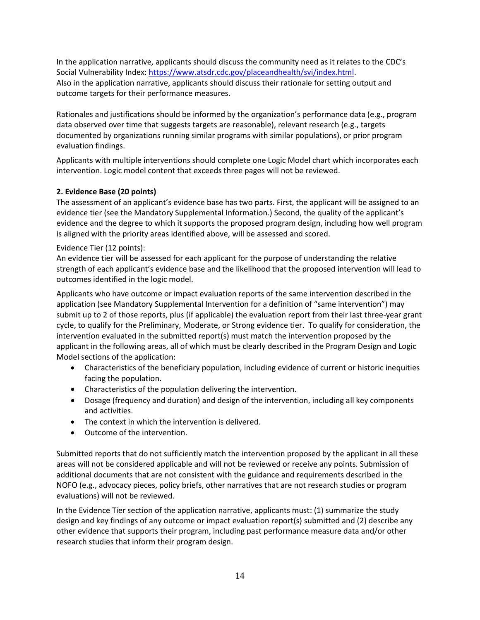In the application narrative, applicants should discuss the community need as it relates to the CDC's Social Vulnerability Index[: https://www.atsdr.cdc.gov/placeandhealth/svi/index.html.](https://gcc02.safelinks.protection.outlook.com/?url=https%3A%2F%2Fwww.atsdr.cdc.gov%2Fplaceandhealth%2Fsvi%2Findex.html&data=04%7C01%7CJBastressTahmasebi%40cns.gov%7Ca4a3568e0b364e03a74208d9580061f7%7Cd2f850a78dce4fb3a79c6867f9514312%7C0%7C0%7C637637580948680579%7CUnknown%7CTWFpbGZsb3d8eyJWIjoiMC4wLjAwMDAiLCJQIjoiV2luMzIiLCJBTiI6Ik1haWwiLCJXVCI6Mn0%3D%7C1000&sdata=6XzIHG%2FQE%2BP2wwRpTrH2lhH5LK%2BsuEn2GUBxKuNhTO4%3D&reserved=0) Also in the application narrative, applicants should discuss their rationale for setting output and outcome targets for their performance measures.

Rationales and justifications should be informed by the organization's performance data (e.g., program data observed over time that suggests targets are reasonable), relevant research (e.g., targets documented by organizations running similar programs with similar populations), or prior program evaluation findings.

Applicants with multiple interventions should complete one Logic Model chart which incorporates each intervention. Logic model content that exceeds three pages will not be reviewed.

## **2. Evidence Base (20 points)**

The assessment of an applicant's evidence base has two parts. First, the applicant will be assigned to an evidence tier (see the Mandatory Supplemental Information.) Second, the quality of the applicant's evidence and the degree to which it supports the proposed program design, including how well program is aligned with the priority areas identified above, will be assessed and scored.

## Evidence Tier (12 points):

An evidence tier will be assessed for each applicant for the purpose of understanding the relative strength of each applicant's evidence base and the likelihood that the proposed intervention will lead to outcomes identified in the logic model.

Applicants who have outcome or impact evaluation reports of the same intervention described in the application (see Mandatory Supplemental Intervention for a definition of "same intervention") may submit up to 2 of those reports, plus (if applicable) the evaluation report from their last three-year grant cycle, to qualify for the Preliminary, Moderate, or Strong evidence tier. To qualify for consideration, the intervention evaluated in the submitted report(s) must match the intervention proposed by the applicant in the following areas, all of which must be clearly described in the Program Design and Logic Model sections of the application:

- Characteristics of the beneficiary population, including evidence of current or historic inequities facing the population.
- Characteristics of the population delivering the intervention.
- Dosage (frequency and duration) and design of the intervention, including all key components and activities.
- The context in which the intervention is delivered.
- Outcome of the intervention.

Submitted reports that do not sufficiently match the intervention proposed by the applicant in all these areas will not be considered applicable and will not be reviewed or receive any points. Submission of additional documents that are not consistent with the guidance and requirements described in the NOFO (e.g., advocacy pieces, policy briefs, other narratives that are not research studies or program evaluations) will not be reviewed.

In the Evidence Tier section of the application narrative, applicants must: (1) summarize the study design and key findings of any outcome or impact evaluation report(s) submitted and (2) describe any other evidence that supports their program, including past performance measure data and/or other research studies that inform their program design.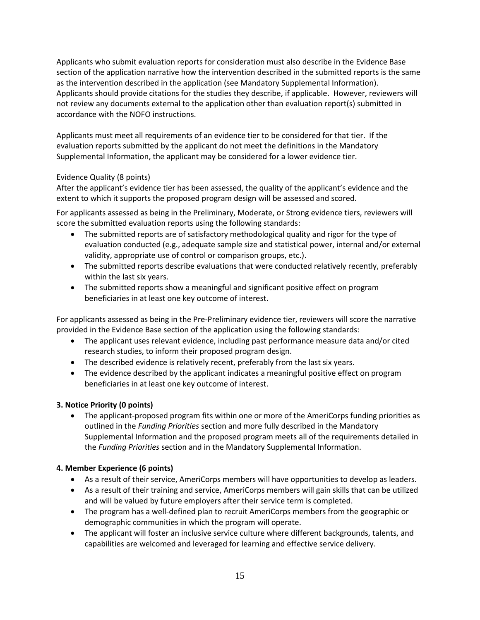Applicants who submit evaluation reports for consideration must also describe in the Evidence Base section of the application narrative how the intervention described in the submitted reports is the same as the intervention described in the application (see Mandatory Supplemental Information). Applicants should provide citations for the studies they describe, if applicable. However, reviewers will not review any documents external to the application other than evaluation report(s) submitted in accordance with the NOFO instructions.

Applicants must meet all requirements of an evidence tier to be considered for that tier. If the evaluation reports submitted by the applicant do not meet the definitions in the Mandatory Supplemental Information, the applicant may be considered for a lower evidence tier.

## Evidence Quality (8 points)

After the applicant's evidence tier has been assessed, the quality of the applicant's evidence and the extent to which it supports the proposed program design will be assessed and scored.

For applicants assessed as being in the Preliminary, Moderate, or Strong evidence tiers, reviewers will score the submitted evaluation reports using the following standards:

- The submitted reports are of satisfactory methodological quality and rigor for the type of evaluation conducted (e.g., adequate sample size and statistical power, internal and/or external validity, appropriate use of control or comparison groups, etc.).
- The submitted reports describe evaluations that were conducted relatively recently, preferably within the last six years.
- The submitted reports show a meaningful and significant positive effect on program beneficiaries in at least one key outcome of interest.

For applicants assessed as being in the Pre-Preliminary evidence tier, reviewers will score the narrative provided in the Evidence Base section of the application using the following standards:

- The applicant uses relevant evidence, including past performance measure data and/or cited research studies, to inform their proposed program design.
- The described evidence is relatively recent, preferably from the last six years.
- The evidence described by the applicant indicates a meaningful positive effect on program beneficiaries in at least one key outcome of interest.

## **3. Notice Priority (0 points)**

• The applicant-proposed program fits within one or more of the AmeriCorps funding priorities as outlined in the *Funding Priorities* section and more fully described in the Mandatory Supplemental Information and the proposed program meets all of the requirements detailed in the *Funding Priorities* section and in the Mandatory Supplemental Information.

## **4. Member Experience (6 points)**

- As a result of their service, AmeriCorps members will have opportunities to develop as leaders.
- As a result of their training and service, AmeriCorps members will gain skills that can be utilized and will be valued by future employers after their service term is completed.
- The program has a well-defined plan to recruit AmeriCorps members from the geographic or demographic communities in which the program will operate.
- The applicant will foster an inclusive service culture where different backgrounds, talents, and capabilities are welcomed and leveraged for learning and effective service delivery.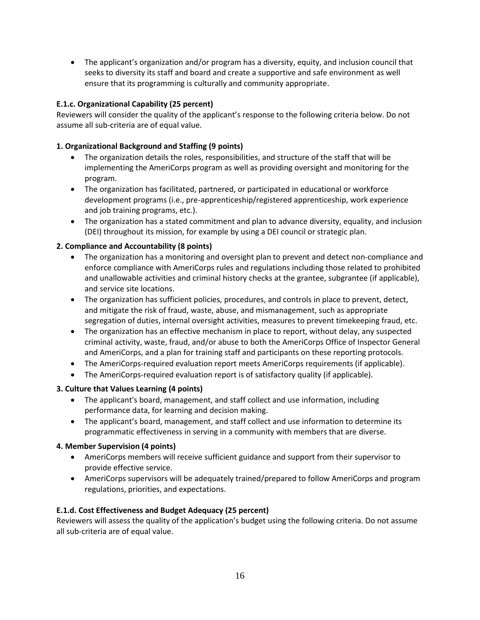• The applicant's organization and/or program has a diversity, equity, and inclusion council that seeks to diversity its staff and board and create a supportive and safe environment as well ensure that its programming is culturally and community appropriate.

## **E.1.c. Organizational Capability (25 percent)**

Reviewers will consider the quality of the applicant's response to the following criteria below. Do not assume all sub-criteria are of equal value.

### **1. Organizational Background and Staffing (9 points)**

- The organization details the roles, responsibilities, and structure of the staff that will be implementing the AmeriCorps program as well as providing oversight and monitoring for the program.
- The organization has facilitated, partnered, or participated in educational or workforce development programs (i.e., pre-apprenticeship/registered apprenticeship, work experience and job training programs, etc.).
- The organization has a stated commitment and plan to advance diversity, equality, and inclusion (DEI) throughout its mission, for example by using a DEI council or strategic plan.

### **2. Compliance and Accountability (8 points)**

- The organization has a monitoring and oversight plan to prevent and detect non-compliance and enforce compliance with AmeriCorps rules and regulations including those related to prohibited and unallowable activities and criminal history checks at the grantee, subgrantee (if applicable), and service site locations.
- The organization has sufficient policies, procedures, and controls in place to prevent, detect, and mitigate the risk of fraud, waste, abuse, and mismanagement, such as appropriate segregation of duties, internal oversight activities, measures to prevent timekeeping fraud, etc.
- The organization has an effective mechanism in place to report, without delay, any suspected criminal activity, waste, fraud, and/or abuse to both the AmeriCorps Office of Inspector General and AmeriCorps, and a plan for training staff and participants on these reporting protocols.
- The AmeriCorps-required evaluation report meets AmeriCorps requirements (if applicable).
- The AmeriCorps-required evaluation report is of satisfactory quality (if applicable).

### **3. Culture that Values Learning (4 points)**

- The applicant's board, management, and staff collect and use information, including performance data, for learning and decision making.
- The applicant's board, management, and staff collect and use information to determine its programmatic effectiveness in serving in a community with members that are diverse.

### **4. Member Supervision (4 points)**

- AmeriCorps members will receive sufficient guidance and support from their supervisor to provide effective service.
- AmeriCorps supervisors will be adequately trained/prepared to follow AmeriCorps and program regulations, priorities, and expectations.

### **E.1.d. Cost Effectiveness and Budget Adequacy (25 percent)**

Reviewers will assess the quality of the application's budget using the following criteria. Do not assume all sub-criteria are of equal value.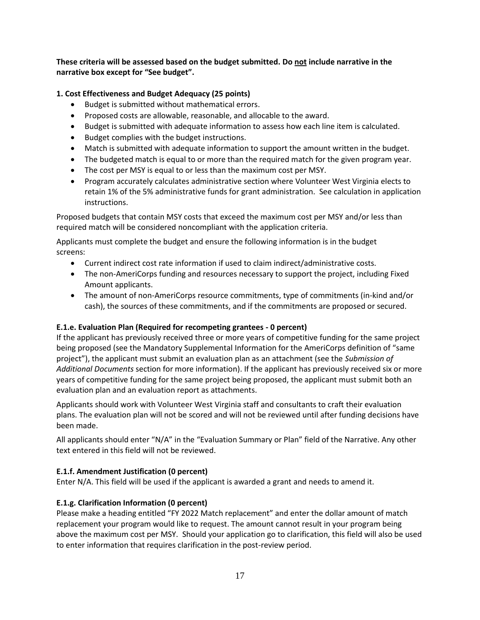**These criteria will be assessed based on the budget submitted. Do not include narrative in the narrative box except for "See budget".**

## **1. Cost Effectiveness and Budget Adequacy (25 points)**

- Budget is submitted without mathematical errors.
- Proposed costs are allowable, reasonable, and allocable to the award.
- Budget is submitted with adequate information to assess how each line item is calculated.
- Budget complies with the budget instructions.
- Match is submitted with adequate information to support the amount written in the budget.
- The budgeted match is equal to or more than the required match for the given program year.
- The cost per MSY is equal to or less than the maximum cost per MSY.
- Program accurately calculates administrative section where Volunteer West Virginia elects to retain 1% of the 5% administrative funds for grant administration. See calculation in application instructions.

Proposed budgets that contain MSY costs that exceed the maximum cost per MSY and/or less than required match will be considered noncompliant with the application criteria.

Applicants must complete the budget and ensure the following information is in the budget screens:

- Current indirect cost rate information if used to claim indirect/administrative costs.
- The non-AmeriCorps funding and resources necessary to support the project, including Fixed Amount applicants.
- The amount of non-AmeriCorps resource commitments, type of commitments (in-kind and/or cash), the sources of these commitments, and if the commitments are proposed or secured.

## **E.1.e. Evaluation Plan (Required for recompeting grantees - 0 percent)**

If the applicant has previously received three or more years of competitive funding for the same project being proposed (see the Mandatory Supplemental Information for the AmeriCorps definition of "same project"), the applicant must submit an evaluation plan as an attachment (see the *Submission of Additional Documents* section for more information). If the applicant has previously received six or more years of competitive funding for the same project being proposed, the applicant must submit both an evaluation plan and an evaluation report as attachments.

Applicants should work with Volunteer West Virginia staff and consultants to craft their evaluation plans. The evaluation plan will not be scored and will not be reviewed until after funding decisions have been made.

All applicants should enter "N/A" in the "Evaluation Summary or Plan" field of the Narrative. Any other text entered in this field will not be reviewed.

## **E.1.f. Amendment Justification (0 percent)**

Enter N/A. This field will be used if the applicant is awarded a grant and needs to amend it.

## **E.1.g. Clarification Information (0 percent)**

Please make a heading entitled "FY 2022 Match replacement" and enter the dollar amount of match replacement your program would like to request. The amount cannot result in your program being above the maximum cost per MSY. Should your application go to clarification, this field will also be used to enter information that requires clarification in the post-review period.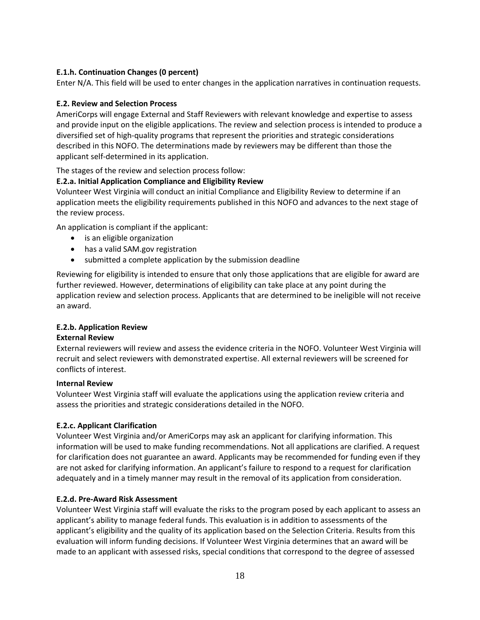## **E.1.h. Continuation Changes (0 percent)**

Enter N/A. This field will be used to enter changes in the application narratives in continuation requests.

#### **E.2. Review and Selection Process**

AmeriCorps will engage External and Staff Reviewers with relevant knowledge and expertise to assess and provide input on the eligible applications. The review and selection process is intended to produce a diversified set of high-quality programs that represent the priorities and strategic considerations described in this NOFO. The determinations made by reviewers may be different than those the applicant self-determined in its application.

The stages of the review and selection process follow:

### **E.2.a. Initial Application Compliance and Eligibility Review**

Volunteer West Virginia will conduct an initial Compliance and Eligibility Review to determine if an application meets the eligibility requirements published in this NOFO and advances to the next stage of the review process.

An application is compliant if the applicant:

- is an eligible organization
- has a valid SAM.gov registration
- submitted a complete application by the submission deadline

Reviewing for eligibility is intended to ensure that only those applications that are eligible for award are further reviewed. However, determinations of eligibility can take place at any point during the application review and selection process. Applicants that are determined to be ineligible will not receive an award.

### **E.2.b. Application Review**

#### **External Review**

External reviewers will review and assess the evidence criteria in the NOFO. Volunteer West Virginia will recruit and select reviewers with demonstrated expertise. All external reviewers will be screened for conflicts of interest.

#### **Internal Review**

Volunteer West Virginia staff will evaluate the applications using the application review criteria and assess the priorities and strategic considerations detailed in the NOFO.

### **E.2.c. Applicant Clarification**

Volunteer West Virginia and/or AmeriCorps may ask an applicant for clarifying information. This information will be used to make funding recommendations. Not all applications are clarified. A request for clarification does not guarantee an award. Applicants may be recommended for funding even if they are not asked for clarifying information. An applicant's failure to respond to a request for clarification adequately and in a timely manner may result in the removal of its application from consideration.

### **E.2.d. Pre-Award Risk Assessment**

Volunteer West Virginia staff will evaluate the risks to the program posed by each applicant to assess an applicant's ability to manage federal funds. This evaluation is in addition to assessments of the applicant's eligibility and the quality of its application based on the Selection Criteria. Results from this evaluation will inform funding decisions. If Volunteer West Virginia determines that an award will be made to an applicant with assessed risks, special conditions that correspond to the degree of assessed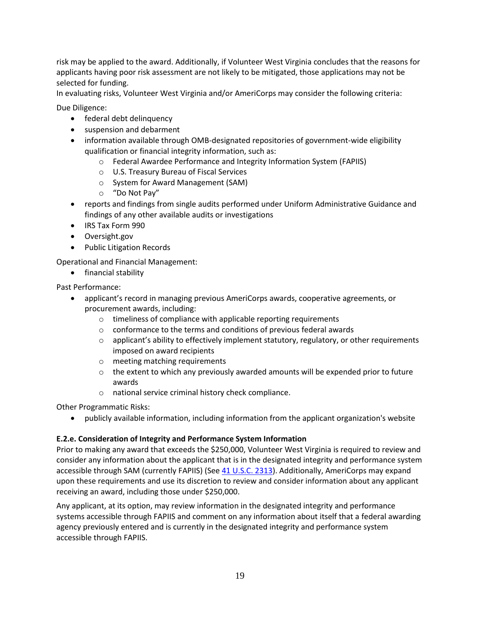risk may be applied to the award. Additionally, if Volunteer West Virginia concludes that the reasons for applicants having poor risk assessment are not likely to be mitigated, those applications may not be selected for funding.

In evaluating risks, Volunteer West Virginia and/or AmeriCorps may consider the following criteria:

Due Diligence:

- federal debt delinquency
- suspension and debarment
- information available through OMB-designated repositories of government-wide eligibility qualification or financial integrity information, such as:
	- o Federal Awardee Performance and Integrity Information System (FAPIIS)
	- o U.S. Treasury Bureau of Fiscal Services
	- o System for Award Management (SAM)
	- o "Do Not Pay"
- reports and findings from single audits performed under Uniform Administrative Guidance and findings of any other available audits or investigations
- IRS Tax Form 990
- Oversight.gov
- Public Litigation Records

Operational and Financial Management:

• financial stability

Past Performance:

- applicant's record in managing previous AmeriCorps awards, cooperative agreements, or procurement awards, including:
	- o timeliness of compliance with applicable reporting requirements
	- o conformance to the terms and conditions of previous federal awards
	- $\circ$  applicant's ability to effectively implement statutory, regulatory, or other requirements imposed on award recipients
	- o meeting matching requirements
	- $\circ$  the extent to which any previously awarded amounts will be expended prior to future awards
	- o national service criminal history check compliance.

Other Programmatic Risks:

• publicly available information, including information from the applicant organization's website

### **E.2.e. Consideration of Integrity and Performance System Information**

Prior to making any award that exceeds the \$250,000, Volunteer West Virginia is required to review and consider any information about the applicant that is in the designated integrity and performance system accessible through SAM (currently FAPIIS) (See [41 U.S.C. 2313\)](http://uscode.house.gov/view.xhtml?req=(title:41%20section:2313%20edition:prelim)%20OR%20(granuleid:USC-prelim-title41-section2313)&f=treesort&edition=prelim&num=0&jumpTo=true). Additionally, AmeriCorps may expand upon these requirements and use its discretion to review and consider information about any applicant receiving an award, including those under \$250,000.

Any applicant, at its option, may review information in the designated integrity and performance systems accessible through FAPIIS and comment on any information about itself that a federal awarding agency previously entered and is currently in the designated integrity and performance system accessible through FAPIIS.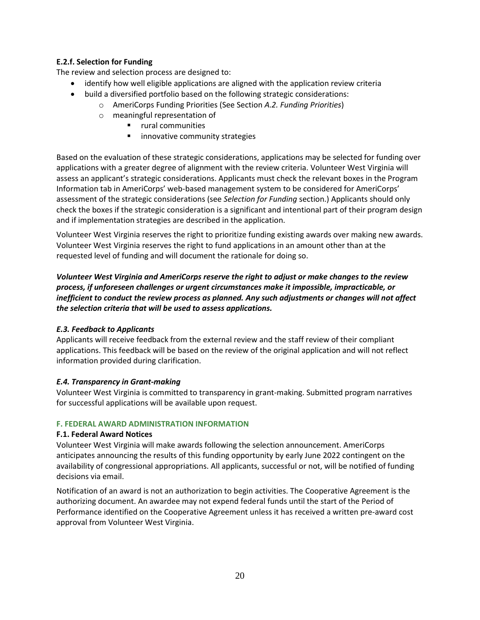### **E.2.f. Selection for Funding**

The review and selection process are designed to:

- identify how well eligible applications are aligned with the application review criteria
- build a diversified portfolio based on the following strategic considerations:
	- o AmeriCorps Funding Priorities (See Section *A.2. Funding Priorities*)
	- o meaningful representation of
		- rural communities
		- innovative community strategies

Based on the evaluation of these strategic considerations, applications may be selected for funding over applications with a greater degree of alignment with the review criteria. Volunteer West Virginia will assess an applicant's strategic considerations. Applicants must check the relevant boxes in the Program Information tab in AmeriCorps' web-based management system to be considered for AmeriCorps' assessment of the strategic considerations (see *Selection for Funding* section.) Applicants should only check the boxes if the strategic consideration is a significant and intentional part of their program design and if implementation strategies are described in the application.

Volunteer West Virginia reserves the right to prioritize funding existing awards over making new awards. Volunteer West Virginia reserves the right to fund applications in an amount other than at the requested level of funding and will document the rationale for doing so.

*Volunteer West Virginia and AmeriCorps reserve the right to adjust or make changes to the review process, if unforeseen challenges or urgent circumstances make it impossible, impracticable, or inefficient to conduct the review process as planned. Any such adjustments or changes will not affect the selection criteria that will be used to assess applications.*

### *E.3. Feedback to Applicants*

Applicants will receive feedback from the external review and the staff review of their compliant applications. This feedback will be based on the review of the original application and will not reflect information provided during clarification.

## *E.4. Transparency in Grant-making*

Volunteer West Virginia is committed to transparency in grant-making. Submitted program narratives for successful applications will be available upon request.

### **F. FEDERAL AWARD ADMINISTRATION INFORMATION**

### **F.1. Federal Award Notices**

Volunteer West Virginia will make awards following the selection announcement. AmeriCorps anticipates announcing the results of this funding opportunity by early June 2022 contingent on the availability of congressional appropriations. All applicants, successful or not, will be notified of funding decisions via email.

Notification of an award is not an authorization to begin activities. The Cooperative Agreement is the authorizing document. An awardee may not expend federal funds until the start of the Period of Performance identified on the Cooperative Agreement unless it has received a written pre-award cost approval from Volunteer West Virginia.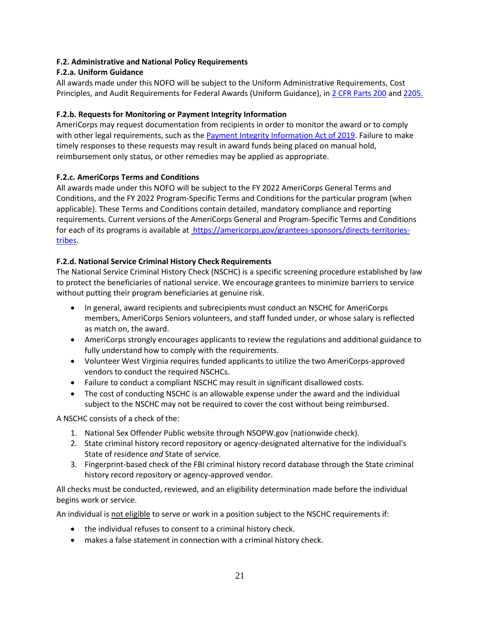### **F.2. Administrative and National Policy Requirements**

### **F.2.a. Uniform Guidance**

All awards made under this NOFO will be subject to the Uniform Administrative Requirements, Cost Principles, and Audit Requirements for Federal Awards (Uniform Guidance), i[n 2 CFR Parts 200](http://www.ecfr.gov/cgi-bin/text-idx?SID=379c69c6a453c93b76142986a4ce5ad4&node=pt2.1.200&rgn=div5) an[d 2205.](http://www.ecfr.gov/cgi-bin/text-idx?SID=f7425ef67312ab84da9e76ed5d79dff7&node=pt2.1.2205&rgn=div5)

### **F.2.b. Requests for Monitoring or Payment Integrity Information**

AmeriCorps may request documentation from recipients in order to monitor the award or to comply with other legal requirements, such as the [Payment Integrity Information Act of 2019.](https://paymentaccuracy.gov/) Failure to make timely responses to these requests may result in award funds being placed on manual hold, reimbursement only status, or other remedies may be applied as appropriate.

### **F.2.c. AmeriCorps Terms and Conditions**

All awards made under this NOFO will be subject to the FY 2022 AmeriCorps General Terms and Conditions, and the FY 2022 Program-Specific Terms and Conditions for the particular program (when applicable). These Terms and Conditions contain detailed, mandatory compliance and reporting requirements. Current versions of the AmeriCorps General and Program-Specific Terms and Conditions for each of its programs is available at [https://americorps.gov/grantees-sponsors/directs-territories](https://americorps.gov/grantees-sponsors/directs-territories-tribes)[tribes.](https://americorps.gov/grantees-sponsors/directs-territories-tribes)

### **F.2.d. National Service Criminal History Check Requirements**

The National Service Criminal History Check (NSCHC) is a specific screening procedure established by law to protect the beneficiaries of national service. We encourage grantees to minimize barriers to service without putting their program beneficiaries at genuine risk.

- In general, award recipients and subrecipients must conduct an NSCHC for AmeriCorps members, AmeriCorps Seniors volunteers, and staff funded under, or whose salary is reflected as match on, the award.
- AmeriCorps strongly encourages applicants to review the regulations and additional guidance to fully understand how to comply with the requirements.
- Volunteer West Virginia requires funded applicants to utilize the two AmeriCorps-approved vendors to conduct the required NSCHCs.
- Failure to conduct a compliant NSCHC may result in significant disallowed costs.
- The cost of conducting NSCHC is an allowable expense under the award and the individual subject to the NSCHC may not be required to cover the cost without being reimbursed.

A NSCHC consists of a check of the:

- 1. National Sex Offender Public website through NSOPW.gov (nationwide check).
- 2. State criminal history record repository or agency-designated alternative for the individual's State of residence *and* State of service.
- 3. Fingerprint-based check of the FBI criminal history record database through the State criminal history record repository or agency-approved vendor.

All checks must be conducted, reviewed, and an eligibility determination made before the individual begins work or service.

An individual is not eligible to serve or work in a position subject to the NSCHC requirements if:

- the individual refuses to consent to a criminal history check.
- makes a false statement in connection with a criminal history check.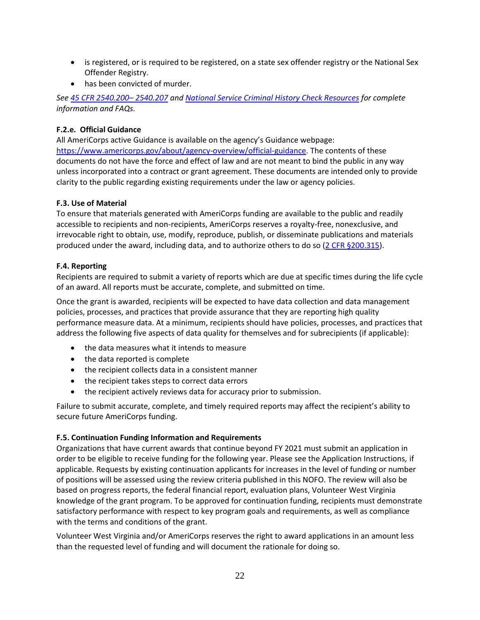- is registered, or is required to be registered, on a state sex offender registry or the National Sex Offender Registry.
- has been convicted of murder.

*See [45 CFR 2540.200](https://gcc02.safelinks.protection.outlook.com/?url=http%3A%2F%2Fwww.ecfr.gov%2Fcgi-bin%2Ftext-idx%3FSID%3Df100236ee7664894ea5b7d2b7bc80564%26mc%3Dtrue%26tpl%3D%2Fecfrbrowse%2FTitle45%2F45cfr2540_main_02.tpl&data=04%7C01%7CJBastressTahmasebi%40cns.gov%7C7ed5931d00304e055d1608d915b16791%7Cd2f850a78dce4fb3a79c6867f9514312%7C0%7C0%7C637564673950768749%7CUnknown%7CTWFpbGZsb3d8eyJWIjoiMC4wLjAwMDAiLCJQIjoiV2luMzIiLCJBTiI6Ik1haWwiLCJXVCI6Mn0%3D%7C1000&sdata=VkrkzIoXKRKWvLrH0AY%2BcxvTpWH79%2B8AzvQukeaWwOE%3D&reserved=0)– 2540.207 an[d National Service Criminal History Check Resources](https://gcc02.safelinks.protection.outlook.com/?url=https%3A%2F%2Famericorps.gov%2Fgrantees-sponsors%2Fhistory-check&data=04%7C01%7CJBastressTahmasebi%40cns.gov%7C7ed5931d00304e055d1608d915b16791%7Cd2f850a78dce4fb3a79c6867f9514312%7C0%7C0%7C637564673950778705%7CUnknown%7CTWFpbGZsb3d8eyJWIjoiMC4wLjAwMDAiLCJQIjoiV2luMzIiLCJBTiI6Ik1haWwiLCJXVCI6Mn0%3D%7C1000&sdata=EyRpPhW8PtN7HeyD7qqutv%2BdOLf79EdpZDq0Fdzw0mA%3D&reserved=0) for complete information and FAQs.*

## **F.2.e. Official Guidance**

All AmeriCorps active Guidance is available on the agency's Guidance webpage: [https://www.americorps.gov/about/agency-overview/official-guidance.](https://www.americorps.gov/about/agency-overview/official-guidance) The contents of these documents do not have the force and effect of law and are not meant to bind the public in any way unless incorporated into a contract or grant agreement. These documents are intended only to provide clarity to the public regarding existing requirements under the law or agency policies.

## **F.3. Use of Material**

To ensure that materials generated with AmeriCorps funding are available to the public and readily accessible to recipients and non-recipients, AmeriCorps reserves a royalty-free, nonexclusive, and irrevocable right to obtain, use, modify, reproduce, publish, or disseminate publications and materials produced under the award, including data, and to authorize others to do so [\(2 CFR §200.315\)](http://www.ecfr.gov/cgi-bin/retrieveECFR?gp=&SID=74a79d9a3a38ee2ca26d377daeacebb7&mc=true&n=pt2.1.200&r=PART&ty=HTML#se2.1.200_1315).

## **F.4. Reporting**

Recipients are required to submit a variety of reports which are due at specific times during the life cycle of an award. All reports must be accurate, complete, and submitted on time.

Once the grant is awarded, recipients will be expected to have data collection and data management policies, processes, and practices that provide assurance that they are reporting high quality performance measure data. At a minimum, recipients should have policies, processes, and practices that address the following five aspects of data quality for themselves and for subrecipients (if applicable):

- the data measures what it intends to measure
- the data reported is complete
- the recipient collects data in a consistent manner
- the recipient takes steps to correct data errors
- the recipient actively reviews data for accuracy prior to submission.

Failure to submit accurate, complete, and timely required reports may affect the recipient's ability to secure future AmeriCorps funding.

## **F.5. Continuation Funding Information and Requirements**

Organizations that have current awards that continue beyond FY 2021 must submit an application in order to be eligible to receive funding for the following year. Please see the Application Instructions*,* if applicable*.* Requests by existing continuation applicants for increases in the level of funding or number of positions will be assessed using the review criteria published in this NOFO. The review will also be based on progress reports, the federal financial report, evaluation plans, Volunteer West Virginia knowledge of the grant program. To be approved for continuation funding, recipients must demonstrate satisfactory performance with respect to key program goals and requirements, as well as compliance with the terms and conditions of the grant.

Volunteer West Virginia and/or AmeriCorps reserves the right to award applications in an amount less than the requested level of funding and will document the rationale for doing so.